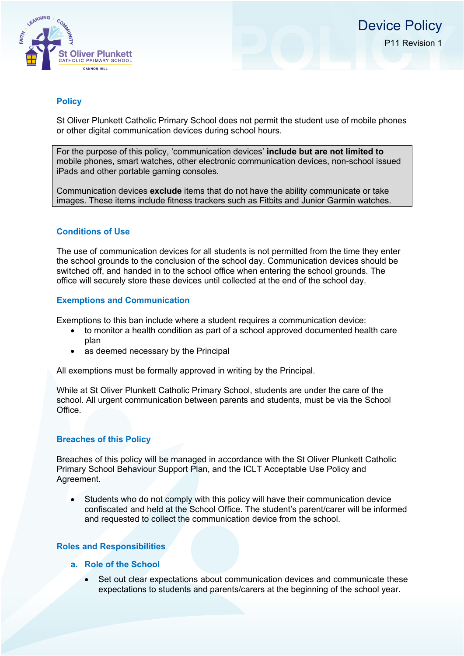

# **Policy**

St Oliver Plunkett Catholic Primary School does not permit the student use of mobile phones or other digital communication devices during school hours.

For the purpose of this policy, 'communication devices' **include but are not limited to** mobile phones, smart watches, other electronic communication devices, non-school issued iPads and other portable gaming consoles.

Communication devices **exclude** items that do not have the ability communicate or take images. These items include fitness trackers such as Fitbits and Junior Garmin watches.

## **Conditions of Use**

The use of communication devices for all students is not permitted from the time they enter the school grounds to the conclusion of the school day. Communication devices should be switched off, and handed in to the school office when entering the school grounds. The office will securely store these devices until collected at the end of the school day.

## **Exemptions and Communication**

Exemptions to this ban include where a student requires a communication device:

- to monitor a health condition as part of a school approved documented health care plan
- as deemed necessary by the Principal

All exemptions must be formally approved in writing by the Principal.

While at St Oliver Plunkett Catholic Primary School, students are under the care of the school. All urgent communication between parents and students, must be via the School Office.

## **Breaches of this Policy**

Breaches of this policy will be managed in accordance with the St Oliver Plunkett Catholic Primary School Behaviour Support Plan, and the ICLT Acceptable Use Policy and Agreement.

• Students who do not comply with this policy will have their communication device confiscated and held at the School Office. The student's parent/carer will be informed and requested to collect the communication device from the school.

## **Roles and Responsibilities**

- **a. Role of the School**
	- Set out clear expectations about communication devices and communicate these expectations to students and parents/carers at the beginning of the school year.